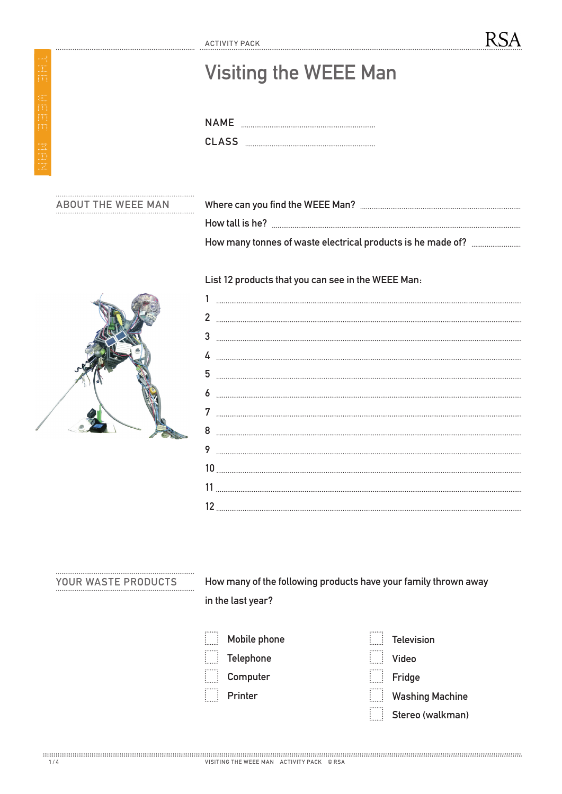| <b>NAMF</b> |  |
|-------------|--|
| CLASS.      |  |

## ABOUT THE WEEE MAN

E.

| $-0.00$ |                                                             |  |  |  |  |  |  |  |
|---------|-------------------------------------------------------------|--|--|--|--|--|--|--|
|         | How tall is he?                                             |  |  |  |  |  |  |  |
|         | How many tonnes of waste electrical products is he made of? |  |  |  |  |  |  |  |

RSA

## List 12 products that you can see in the WEEE Man:



## YOUR WASTE PRODUCTS

How many of the following products have your family thrown away in the last year?

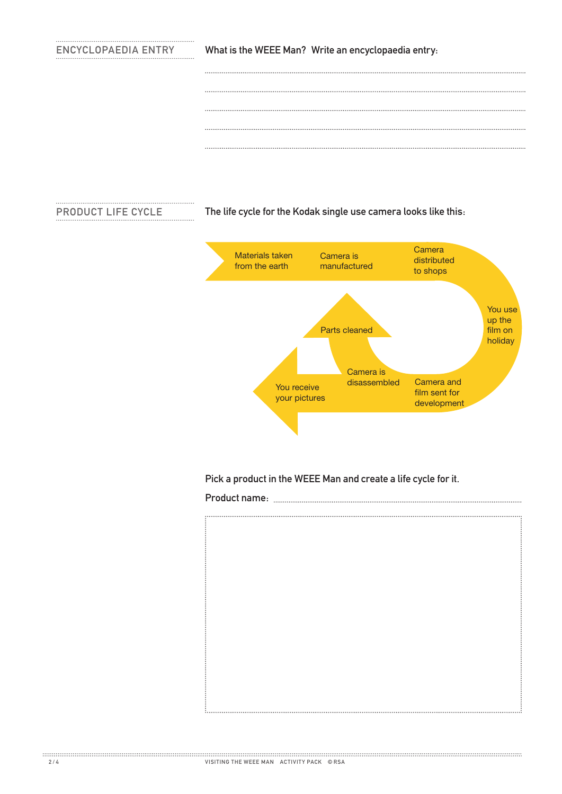## ENCYCLOPAEDIA ENTRY

What is the WEEE Man? Write an encyclopaedia entry:

**PRODUCT LIFE CYCLE** 

The life cycle for the Kodak single use camera looks like this:



Pick a product in the WEEE Man and create a life cycle for it.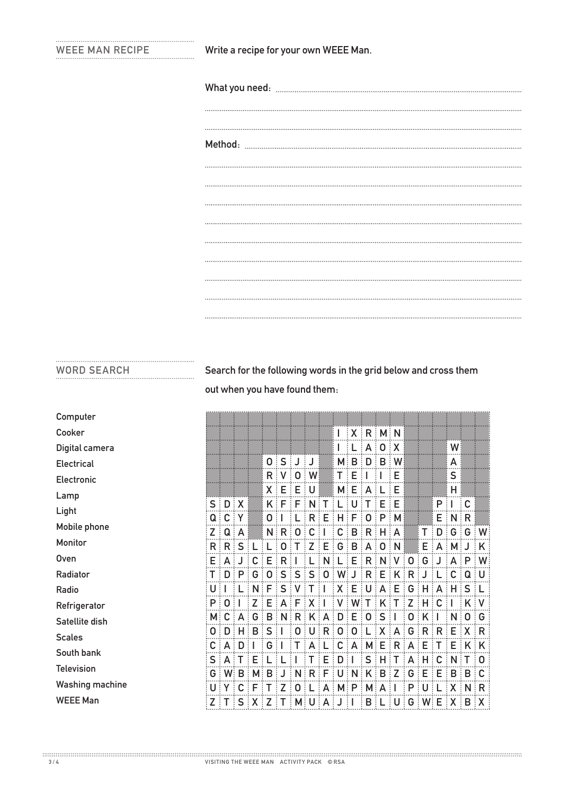Write a recipe for your own WEEE Man.

WORD SEARCH Search for the following words in the grid below and cross them out when you have found them:

| Computer               |                        |                |                 |                 |              |                 |              |                  |             |                   |        |                     |                                                 |                           |                             |                     |                |                        |                                |                       |
|------------------------|------------------------|----------------|-----------------|-----------------|--------------|-----------------|--------------|------------------|-------------|-------------------|--------|---------------------|-------------------------------------------------|---------------------------|-----------------------------|---------------------|----------------|------------------------|--------------------------------|-----------------------|
| Cooker                 |                        |                |                 |                 |              |                 |              |                  |             | I                 |        |                     | $\exists$ X $\exists$ R $\exists$ M $\exists$ N |                           |                             |                     |                |                        |                                |                       |
| Digital camera         |                        |                |                 |                 |              |                 |              |                  |             | I                 |        |                     | A:0:X                                           |                           |                             |                     |                | W                      |                                |                       |
| Electrical             |                        |                |                 |                 |              | $0:$ $S:$ J     |              | ŧJ               |             | M <sub>i</sub>    | B<br>÷ |                     | $D \nvert B \nvert W$                           |                           |                             |                     |                | A                      |                                |                       |
| Electronic             |                        |                |                 |                 | R:V          |                 | $\mathbf 0$  | $\mathbb{N}^2$   |             | $\mathsf{T}$ :    | Е<br>÷ |                     |                                                 | Е                         |                             |                     |                | S                      |                                |                       |
| Lamp                   |                        |                |                 |                 | $X \nvert E$ |                 | E            | ∶U               |             | $M_{\odot}$       | Е<br>÷ | A                   | ΞL                                              | Е                         |                             |                     |                | Н                      |                                |                       |
| Light                  | $S \nvert D$           |                | $\frac{1}{2}$ X |                 | $K \nvert F$ |                 | ∃ Fl         | $\frac{1}{2}N$ T |             | ÷                 | U      | ÷Т                  | ÷Ε<br>÷Р                                        | 主日                        |                             |                     | P<br>÷         |                        | ∶c                             |                       |
| Mobile phone           | $Q \nvert C$<br>Z<br>÷ | Q              | ξY.<br>÷Α       |                 | 0:1          | N:R:            | $\mathbf 0$  | $R$ :<br>C       | Е           | C                 | F<br>B | 0<br>$\frac{1}{2}R$ | $H$ $A$                                         | $\parallel$ M $\parallel$ |                             | T                   | D<br>$\vdots$  | $E \mid N \mid R$<br>G | $\vdots$ G                     | $\mathsf{W}$          |
| Monitor                | R                      | $\mathsf{R}$   | S               |                 |              | 0               |              |                  | Е           | G                 | B      | A                   | 0                                               | $\frac{1}{2}$ N           |                             | Ε                   | $A$ :          | M                      |                                | K                     |
| <b>Oven</b>            | Е                      | A              |                 | C               | E            | $\frac{1}{2}R$  |              |                  | N           | ÷                 | Е      |                     | $R$ $\mathbb{N}$ $\mathbb{N}$                   |                           | $\vdots$<br>$\frac{1}{2}$ 0 | G                   | J              | A                      | $\frac{1}{2}P$                 | W                     |
| Radiator               |                        | D              | P               | G               | 0            | S               | S            | S<br>÷<br>÷      | 0           | W                 | J      |                     | $R$ $E$ $K$ $R$                                 |                           |                             | J                   |                | С                      | Q:U                            |                       |
| Radio                  | U                      |                | ÷               | N               | ÷Ε           | $\mathsf{S}$    | $\mathsf{V}$ | т<br>÷           | Ħ           | $X \nvert E$      |        |                     | U A E                                           |                           | $\frac{1}{2}$ G             | ÷Η                  | A              | ÷Η                     | SS: L                          |                       |
| Refrigerator           | P                      | $\mathbf 0$    |                 | Z               | E            | A               | F            | X<br>÷           |             | V<br>$\pm$        | $Wi$ T |                     | $\pm$ K $\pm$                                   | ÷<br>L.                   | Z<br>$\vdots$               | н                   | C              |                        | K V                            |                       |
| Satellite dish         | $M$ :                  | C              | A               | G               | B            | $\frac{1}{2}$ N | $R$ $K$      | $\vdots$         | A           | $D$ :             | Е      | $\vdots$ 0 $\vdots$ | S                                               |                           | 0                           | Κ                   |                | N                      | : 0 : G                        |                       |
| <b>Scales</b>          | 0:                     | D              |                 | B               | ∃ S          | ΞI              | $\mathbf 0$  | U<br>÷           | R           | 0:                | 0      |                     | $L[X A]$ G                                      |                           |                             | $\frac{1}{2}R$<br>÷ | R <sub>1</sub> | Е                      | $\mathbb{R} \times \mathbb{R}$ |                       |
| South bank             | C :                    | A              | D               |                 | G            |                 |              | A                |             | C                 |        |                     | $AA$ $M$ $E$ $\vdots$                           | $R \nvert A$              | $\vdots$                    | Е                   | т              | E                      | $K$ $K$                        |                       |
| <b>Television</b>      | S                      |                |                 | F               |              |                 |              | $\mathsf{R}$     | Е           | D                 |        |                     | $S$ : $H$ :                                     | ÷<br>т                    | A<br>÷                      | H                   | C              | N                      |                                | $\vdots$ O            |
| <b>Washing machine</b> | G i<br>U               | W              | B               | М<br>F          | B            | 7               | N<br>0       |                  | F<br>A<br>÷ | U<br>ŧ<br>$M$ : P | N      | M: A                | $K$ $B$ $\vdots$                                | Z<br>÷                    | G<br>$\vdots$<br>P          | E<br>U              | E<br>÷         | B<br>X                 | B: C<br>$\frac{1}{2}N$         | ∃ R                   |
| <b>WEEE Man</b>        | $Z$ :                  | $\mathsf{T}$ : | S               | $\frac{1}{2}$ X | Z            | т               |              | M U<br>÷         | A           | $J$ $\vdots$      |        | $B \nvert L$        |                                                 | U                         | $G$ $W$ $E$                 |                     |                |                        |                                | $\{X \mid B \mid X\}$ |